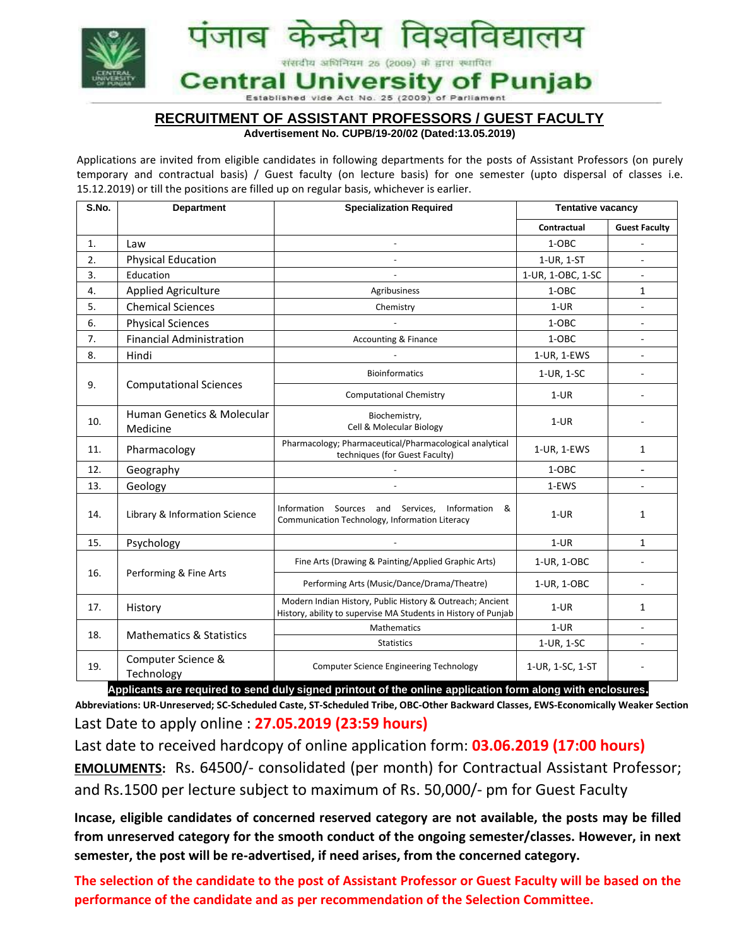

# **RECRUITMENT OF ASSISTANT PROFESSORS / GUEST FACULTY**

#### **Advertisement No. CUPB/19-20/02 (Dated:13.05.2019)**

Applications are invited from eligible candidates in following departments for the posts of Assistant Professors (on purely temporary and contractual basis) / Guest faculty (on lecture basis) for one semester (upto dispersal of classes i.e. 15.12.2019) or till the positions are filled up on regular basis, whichever is earlier.

| S.No.          | <b>Department</b>                                                                | <b>Specialization Required</b>                                                                                              | <b>Tentative vacancy</b>                         |                          |
|----------------|----------------------------------------------------------------------------------|-----------------------------------------------------------------------------------------------------------------------------|--------------------------------------------------|--------------------------|
|                |                                                                                  |                                                                                                                             | Contractual                                      | <b>Guest Faculty</b>     |
| $\mathbf{1}$ . | Law                                                                              | $\overline{\phantom{a}}$                                                                                                    | 1-OBC                                            |                          |
| 2.             | <b>Physical Education</b>                                                        |                                                                                                                             | 1-UR, 1-ST                                       | $\overline{\phantom{a}}$ |
| 3.             | Education                                                                        | $\overline{a}$                                                                                                              | 1-UR, 1-OBC, 1-SC                                |                          |
| 4.             | <b>Applied Agriculture</b>                                                       | Agribusiness                                                                                                                | 1-OBC                                            | $\mathbf{1}$             |
| 5.             | <b>Chemical Sciences</b>                                                         | Chemistry                                                                                                                   | $1-UR$                                           | $\overline{\phantom{a}}$ |
| 6.             | <b>Physical Sciences</b>                                                         |                                                                                                                             | 1-OBC                                            |                          |
| 7.             | <b>Financial Administration</b>                                                  | <b>Accounting &amp; Finance</b>                                                                                             | 1-OBC                                            | $\blacksquare$           |
| 8.             | Hindi                                                                            |                                                                                                                             | 1-UR, 1-EWS                                      | $\overline{a}$           |
| 9.             | <b>Computational Sciences</b>                                                    | <b>Bioinformatics</b>                                                                                                       | 1-UR, 1-SC                                       |                          |
|                |                                                                                  | <b>Computational Chemistry</b>                                                                                              | $1-UR$                                           |                          |
| 10.            | <b>Human Genetics &amp; Molecular</b><br>Medicine                                | Biochemistry,<br>Cell & Molecular Biology                                                                                   | $1-UR$                                           |                          |
| 11.            | Pharmacology                                                                     | Pharmacology; Pharmaceutical/Pharmacological analytical<br>techniques (for Guest Faculty)                                   | 1-UR, 1-EWS                                      | $\mathbf{1}$             |
| 12.            | Geography                                                                        |                                                                                                                             | 1-OBC                                            | ÷,                       |
| 13.            | Geology                                                                          |                                                                                                                             | 1-EWS                                            |                          |
| 14.            | Library & Information Science                                                    | Information Sources and Services,<br>Information &<br>Communication Technology, Information Literacy                        | $1-UR$                                           | $\mathbf{1}$             |
| 15.            | Psychology                                                                       |                                                                                                                             | $1-UR$                                           | $\mathbf{1}$             |
| 16.            | Performing & Fine Arts                                                           | Fine Arts (Drawing & Painting/Applied Graphic Arts)                                                                         | 1-UR, 1-OBC                                      |                          |
|                |                                                                                  | Performing Arts (Music/Dance/Drama/Theatre)                                                                                 | 1-UR, 1-OBC                                      |                          |
| 17.            | History                                                                          | Modern Indian History, Public History & Outreach; Ancient<br>History, ability to supervise MA Students in History of Punjab | $1-UR$                                           | 1                        |
| 18.            | <b>Mathematics &amp; Statistics</b>                                              | <b>Mathematics</b>                                                                                                          | $1-UR$                                           |                          |
|                |                                                                                  | <b>Statistics</b>                                                                                                           | 1-UR, 1-SC                                       |                          |
| 19.            | Computer Science &<br>Technology<br>where the accelerated the<br>Apple Backwatch | <b>Computer Science Engineering Technology</b><br>dulu olaneed nainteut ef the enline ennuicetten                           | 1-UR, 1-SC, 1-ST<br>where we contain<br>$f = ma$ |                          |

**Applicants are required to send duly signed printout of the online application form along with enclosures. Abbreviations: UR-Unreserved; SC-Scheduled Caste, ST-Scheduled Tribe, OBC-Other Backward Classes, EWS-Economically Weaker Section** Last Date to apply online : **27.05.2019 (23:59 hours)**

Last date to received hardcopy of online application form: **03.06.2019 (17:00 hours) EMOLUMENTS:** Rs. 64500/- consolidated (per month) for Contractual Assistant Professor; and Rs.1500 per lecture subject to maximum of Rs. 50,000/- pm for Guest Faculty

**Incase, eligible candidates of concerned reserved category are not available, the posts may be filled from unreserved category for the smooth conduct of the ongoing semester/classes. However, in next semester, the post will be re-advertised, if need arises, from the concerned category.** 

**The selection of the candidate to the post of Assistant Professor or Guest Faculty will be based on the performance of the candidate and as per recommendation of the Selection Committee.**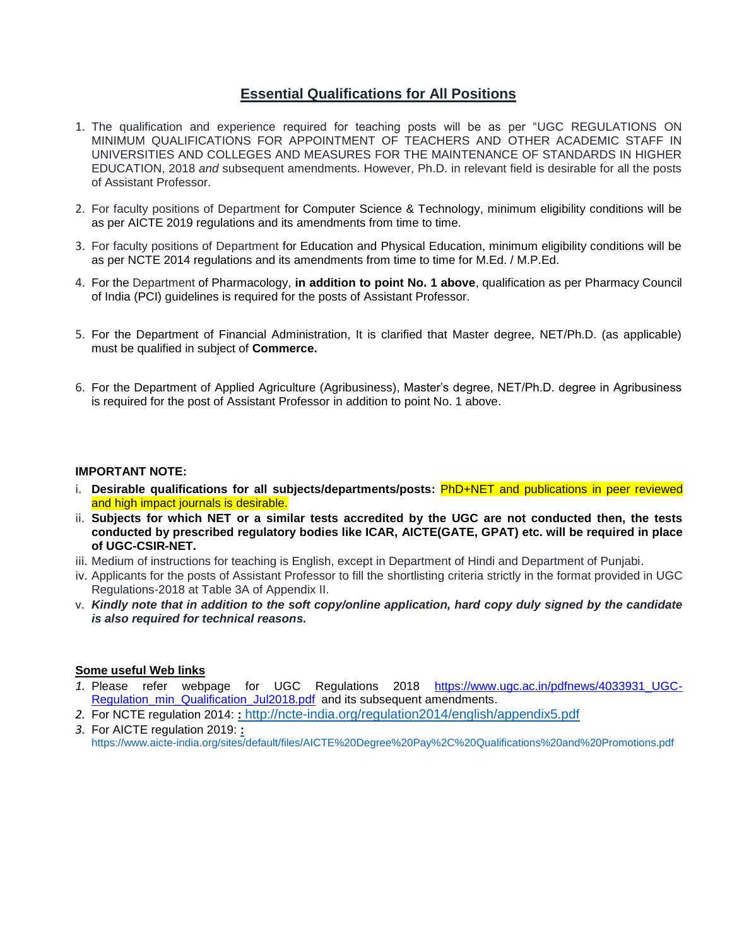### **Essential Qualifications for All Positions**

- 1. The qualification and experience required for teaching posts will be as per ["UGC REGULATIONS ON](https://www.ugc.ac.in/pdfnews/4033931_UGC-Regulation_min_Qualification_Jul2018.pdf)  [MINIMUM QUALIFICATIONS FOR APPOINTMENT OF TEACHERS AND OTHER ACADEMIC STAFF IN](https://www.ugc.ac.in/pdfnews/4033931_UGC-Regulation_min_Qualification_Jul2018.pdf)  [UNIVERSITIES AND COLLEGES AND MEASURES FOR THE MAINTENANCE OF STANDARDS IN HIGHER](https://www.ugc.ac.in/pdfnews/4033931_UGC-Regulation_min_Qualification_Jul2018.pdf)  [EDUCATION, 2018](https://www.ugc.ac.in/pdfnews/4033931_UGC-Regulation_min_Qualification_Jul2018.pdf) *and* subsequent amendments. However, Ph.D. in relevant field is desirable for all the posts of Assistant Professor.
- 2. For faculty positions of Department for Computer Science & Technology, minimum eligibility conditions will be as per AICTE 2019 regulations and its amendments from time to time.
- 3. For faculty positions of Department for Education and Physical Education, minimum eligibility conditions will be as per NCTE 2014 regulations and its amendments from time to time for M.Ed. / M.P.Ed.
- 4. For the Department of Pharmacology, **in addition to point No. 1 above**, qualification as per Pharmacy Council of India (PCI) guidelines is required for the posts of Assistant Professor.
- 5. For the Department of Financial Administration, It is clarified that Master degree, NET/Ph.D. (as applicable) must be qualified in subject of **Commerce.**
- 6. For the Department of Applied Agriculture (Agribusiness), Master's degree, NET/Ph.D. degree in Agribusiness is required for the post of Assistant Professor in addition to point No. 1 above.

#### **IMPORTANT NOTE:**

- i. **Desirable qualifications for all subjects/departments/posts:** PhD+NET and publications in peer reviewed and high impact journals is desirable.
- ii. **Subjects for which NET or a similar tests accredited by the UGC are not conducted then, the tests conducted by prescribed regulatory bodies like ICAR, AICTE(GATE, GPAT) etc. will be required in place of UGC-CSIR-NET.**
- iii. Medium of instructions for teaching is English, except in Department of Hindi and Department of Punjabi.
- iv. Applicants for the posts of Assistant Professor to fill the shortlisting criteria strictly in the format provided in UGC Regulations-2018 at Table 3A of Appendix II.
- v. *Kindly note that in addition to the soft copy/online application, hard copy duly signed by the candidate is also required for technical reasons.*

#### **Some useful Web links**

- *1.* Please refer webpage for UGC Regulations 2018 [https://www.ugc.ac.in/pdfnews/4033931\\_UGC-](https://www.ugc.ac.in/pdfnews/4033931_UGC-Regulation_min_Qualification_Jul2018.pdf)[Regulation\\_min\\_Qualification\\_Jul2018.pdf](https://www.ugc.ac.in/pdfnews/4033931_UGC-Regulation_min_Qualification_Jul2018.pdf) and its subsequent amendments.
- *2.* For NCTE regulation 2014: **:** <http://ncte-india.org/regulation2014/english/appendix5.pdf>
- *3.* For AICTE regulation 2019: **:** <https://www.aicte-india.org/sites/default/files/AICTE%20Degree%20Pay%2C%20Qualifications%20and%20Promotions.pdf>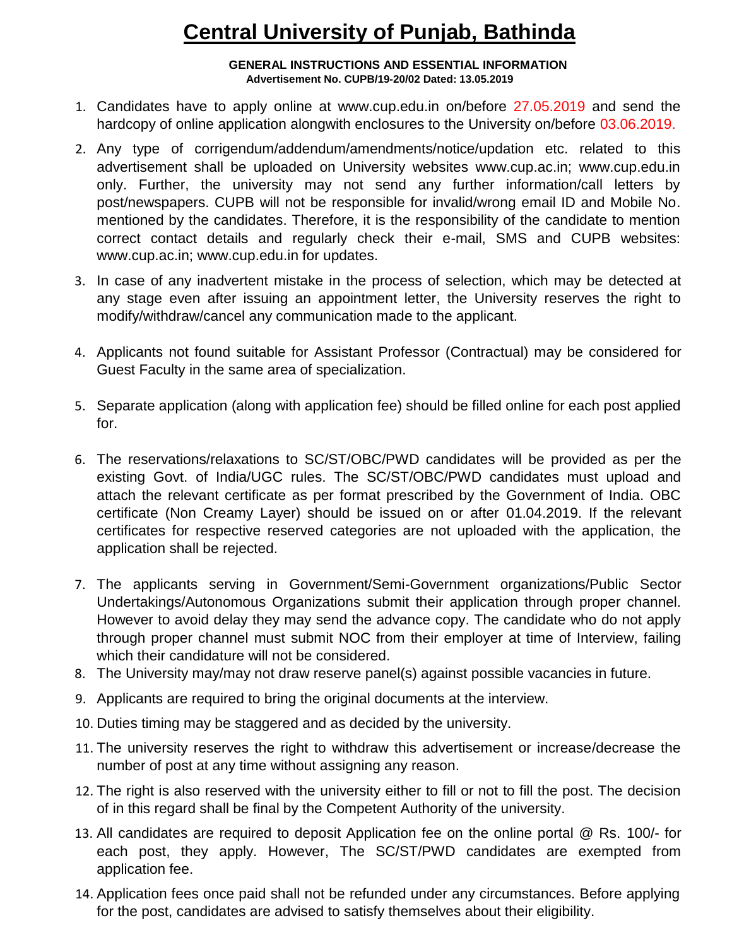# **Central University of Punjab, Bathinda**

#### **GENERAL INSTRUCTIONS AND ESSENTIAL INFORMATION Advertisement No. CUPB/19-20/02 Dated: 13.05.2019**

- 1. Candidates have to apply online at www.cup.edu.in on/before 27.05.2019 and send the hardcopy of online application alongwith enclosures to the University on/before 03.06.2019.
- 2. Any type of corrigendum/addendum/amendments/notice/updation etc. related to this advertisement shall be uploaded on University websites www.cup.ac.in; www.cup.edu.in only. Further, the university may not send any further information/call letters by post/newspapers. CUPB will not be responsible for invalid/wrong email ID and Mobile No. mentioned by the candidates. Therefore, it is the responsibility of the candidate to mention correct contact details and regularly check their e-mail, SMS and CUPB websites: www.cup.ac.in; www.cup.edu.in for updates.
- 3. In case of any inadvertent mistake in the process of selection, which may be detected at any stage even after issuing an appointment letter, the University reserves the right to modify/withdraw/cancel any communication made to the applicant.
- 4. Applicants not found suitable for Assistant Professor (Contractual) may be considered for Guest Faculty in the same area of specialization.
- 5. Separate application (along with application fee) should be filled online for each post applied for.
- 6. The reservations/relaxations to SC/ST/OBC/PWD candidates will be provided as per the existing Govt. of India/UGC rules. The SC/ST/OBC/PWD candidates must upload and attach the relevant certificate as per format prescribed by the Government of India. OBC certificate (Non Creamy Layer) should be issued on or after 01.04.2019. If the relevant certificates for respective reserved categories are not uploaded with the application, the application shall be rejected.
- 7. The applicants serving in Government/Semi-Government organizations/Public Sector Undertakings/Autonomous Organizations submit their application through proper channel. However to avoid delay they may send the advance copy. The candidate who do not apply through proper channel must submit NOC from their employer at time of Interview, failing which their candidature will not be considered.
- 8. The University may/may not draw reserve panel(s) against possible vacancies in future.
- 9. Applicants are required to bring the original documents at the interview.
- 10. Duties timing may be staggered and as decided by the university.
- 11. The university reserves the right to withdraw this advertisement or increase/decrease the number of post at any time without assigning any reason.
- 12. The right is also reserved with the university either to fill or not to fill the post. The decision of in this regard shall be final by the Competent Authority of the university.
- 13. All candidates are required to deposit Application fee on the online portal @ Rs. 100/- for each post, they apply. However, The SC/ST/PWD candidates are exempted from application fee.
- 14. Application fees once paid shall not be refunded under any circumstances. Before applying for the post, candidates are advised to satisfy themselves about their eligibility.